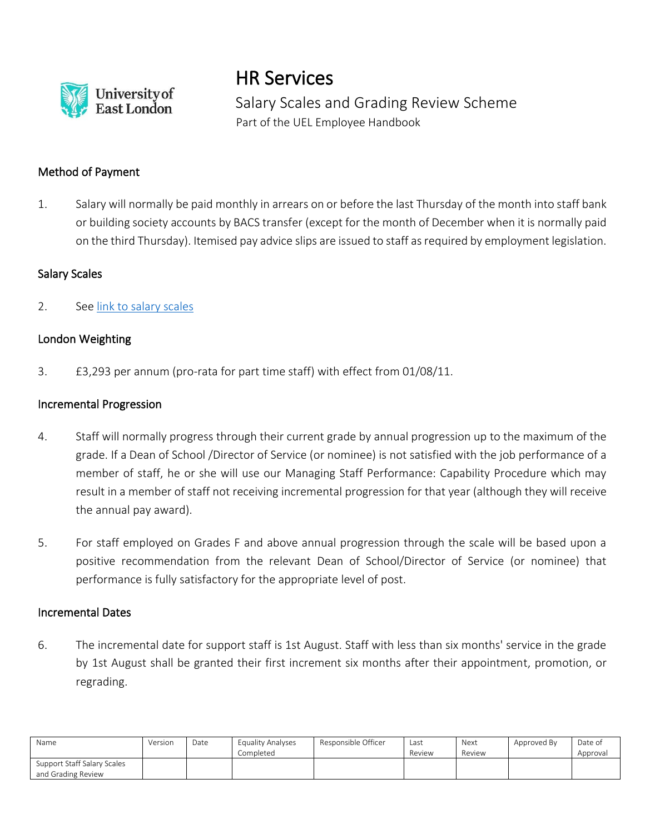

HR Services

Salary Scales and Grading Review Scheme Part of the UEL Employee Handbook

# Method of Payment

1. Salary will normally be paid monthly in arrears on or before the last Thursday of the month into staff bank or building society accounts by BACS transfer (except for the month of December when it is normally paid on the third Thursday). Itemised pay advice slips are issued to staff as required by employment legislation.

#### Salary Scales

2. See [link to salary scales](https://uelac.sharepoint.com/sites/hr/Shared%20Documents/Forms/AllItems.aspx?id=%2Fsites%2Fhr%2FShared%20Documents%2FPayroll%20Documents%2FStaff%20Payscale%20%2D%201%20August%202019%2Epdf&parent=%2Fsites%2Fhr%2FShared%20Documents%2FPayroll%20Documents)

# London Weighting

3. £3,293 per annum (pro-rata for part time staff) with effect from 01/08/11.

#### Incremental Progression

- 4. Staff will normally progress through their current grade by annual progression up to the maximum of the grade. If a Dean of School /Director of Service (or nominee) is not satisfied with the job performance of a member of staff, he or she will use our Managing Staff Performance: Capability Procedure which may result in a member of staff not receiving incremental progression for that year (although they will receive the annual pay award).
- 5. For staff employed on Grades F and above annual progression through the scale will be based upon a positive recommendation from the relevant Dean of School/Director of Service (or nominee) that performance is fully satisfactory for the appropriate level of post.

#### Incremental Dates

6. The incremental date for support staff is 1st August. Staff with less than six months' service in the grade by 1st August shall be granted their first increment six months after their appointment, promotion, or regrading.

| Name                                              | Version | Date | Equality Analyses<br>Completed | Responsible Officer | Last<br>Review | Next<br>Review | Approved By | Date of<br>Approval |
|---------------------------------------------------|---------|------|--------------------------------|---------------------|----------------|----------------|-------------|---------------------|
| Support Staff Salary Scales<br>and Grading Review |         |      |                                |                     |                |                |             |                     |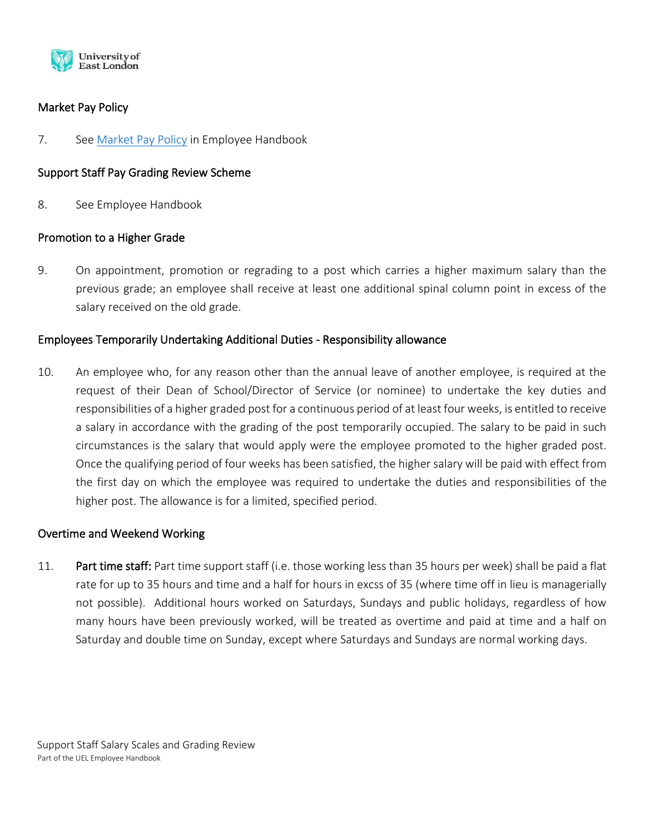

## Market Pay Policy

7. See [Market Pay Policy](https://uelac.sharepoint.com/sites/hr/Shared%20Documents/Policies%202020/Market%20Pay%20Policy.pdf) in Employee Handbook

### Support Staff Pay Grading Review Scheme

8. See Employee Handbook

#### Promotion to a Higher Grade

9. On appointment, promotion or regrading to a post which carries a higher maximum salary than the previous grade; an employee shall receive at least one additional spinal column point in excess of the salary received on the old grade.

#### Employees Temporarily Undertaking Additional Duties - Responsibility allowance

10. An employee who, for any reason other than the annual leave of another employee, is required at the request of their Dean of School/Director of Service (or nominee) to undertake the key duties and responsibilities of a higher graded post for a continuous period of at least four weeks, is entitled to receive a salary in accordance with the grading of the post temporarily occupied. The salary to be paid in such circumstances is the salary that would apply were the employee promoted to the higher graded post. Once the qualifying period of four weeks has been satisfied, the higher salary will be paid with effect from the first day on which the employee was required to undertake the duties and responsibilities of the higher post. The allowance is for a limited, specified period.

#### Overtime and Weekend Working

11. Part time staff: Part time support staff (i.e. those working less than 35 hours per week) shall be paid a flat rate for up to 35 hours and time and a half for hours in excss of 35 (where time off in lieu is managerially not possible). Additional hours worked on Saturdays, Sundays and public holidays, regardless of how many hours have been previously worked, will be treated as overtime and paid at time and a half on Saturday and double time on Sunday, except where Saturdays and Sundays are normal working days.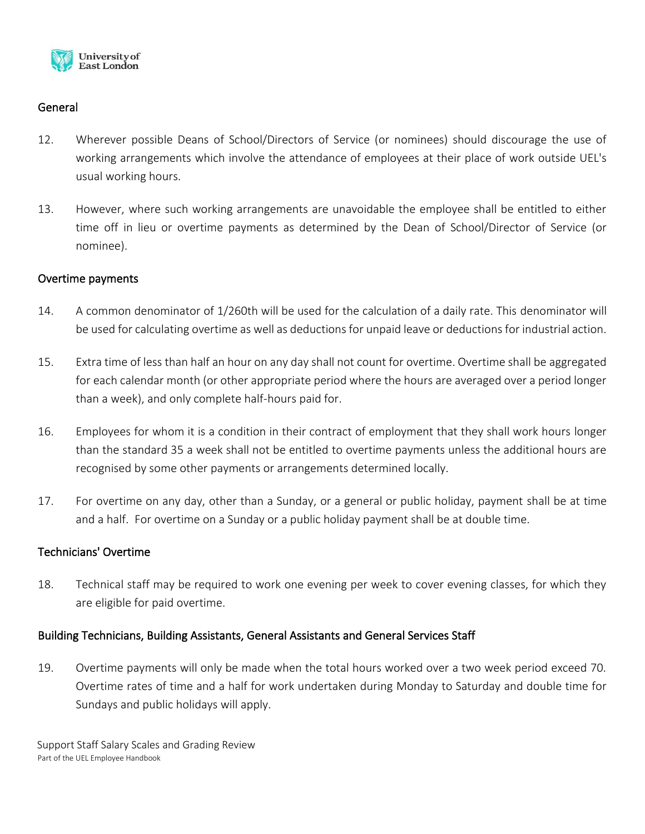

### General

- 12. Wherever possible Deans of School/Directors of Service (or nominees) should discourage the use of working arrangements which involve the attendance of employees at their place of work outside UEL's usual working hours.
- 13. However, where such working arrangements are unavoidable the employee shall be entitled to either time off in lieu or overtime payments as determined by the Dean of School/Director of Service (or nominee).

#### Overtime payments

- 14. A common denominator of 1/260th will be used for the calculation of a daily rate. This denominator will be used for calculating overtime as well as deductions for unpaid leave or deductions for industrial action.
- 15. Extra time of less than half an hour on any day shall not count for overtime. Overtime shall be aggregated for each calendar month (or other appropriate period where the hours are averaged over a period longer than a week), and only complete half-hours paid for.
- 16. Employees for whom it is a condition in their contract of employment that they shall work hours longer than the standard 35 a week shall not be entitled to overtime payments unless the additional hours are recognised by some other payments or arrangements determined locally.
- 17. For overtime on any day, other than a Sunday, or a general or public holiday, payment shall be at time and a half. For overtime on a Sunday or a public holiday payment shall be at double time.

#### Technicians' Overtime

18. Technical staff may be required to work one evening per week to cover evening classes, for which they are eligible for paid overtime.

#### Building Technicians, Building Assistants, General Assistants and General Services Staff

19. Overtime payments will only be made when the total hours worked over a two week period exceed 70. Overtime rates of time and a half for work undertaken during Monday to Saturday and double time for Sundays and public holidays will apply.